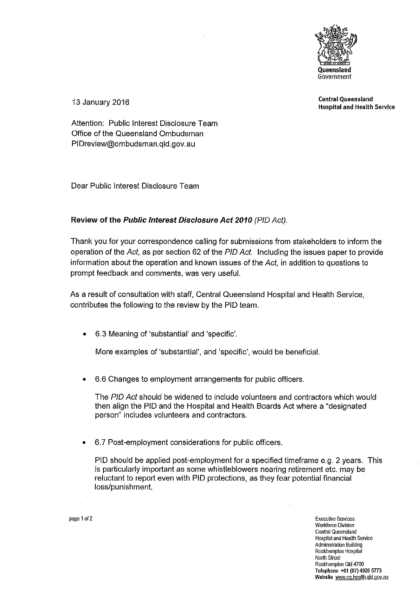

Central Queensland 13 January 2016 Hospital and Health Service

Attention: Public Interest Disclosure Team Office of the Queensland Ombudsman PIDreview@ombudsman.qld.gov.au

Dear Public Interest Disclosure Team

## **Review of the Public Interest Disclosure Act 2010** (PIO Act).

Thank you for your correspondence calling for submissions from stakeholders to inform the operation of the Act, as per section 62 of the PIO Act. Including the issues paper to provide information about the operation and known issues of the Act, in addition to questions to prompt feedback and comments, was very useful.

As a result of consultation with staff, Central Queensland Hospital and Health Service, contributes the following to the review by the PIO team.

• 6.3 Meaning of 'substantial' and 'specific'.

More examples of 'substantial', and 'specific', would be beneficial.

• 6.6 Changes to employment arrangements for public officers.

The PID Act should be widened to include volunteers and contractors which would then align the PIO and the Hospital and Health Boards Act where a "designated person" includes volunteers and contractors.

• 6.7 Post-employment considerations for public officers.

PIO should be applied post-employment for a specified timeframe e.g. 2 years. This is particularly important as some whistleblowers nearing retirement etc. may be reluctant to report even with PIO protections, as they fear potential financial loss/punishment.

page 1of2 **Executive Services Workforce Division Central Queensland Hospital and Health Service Administration Building Rockhampton Hospital**  North Street Rockhampton Qtd 4700 Tetephone +61 (07) 4920 5773 **Website www.cq.health.gld.gov.au**